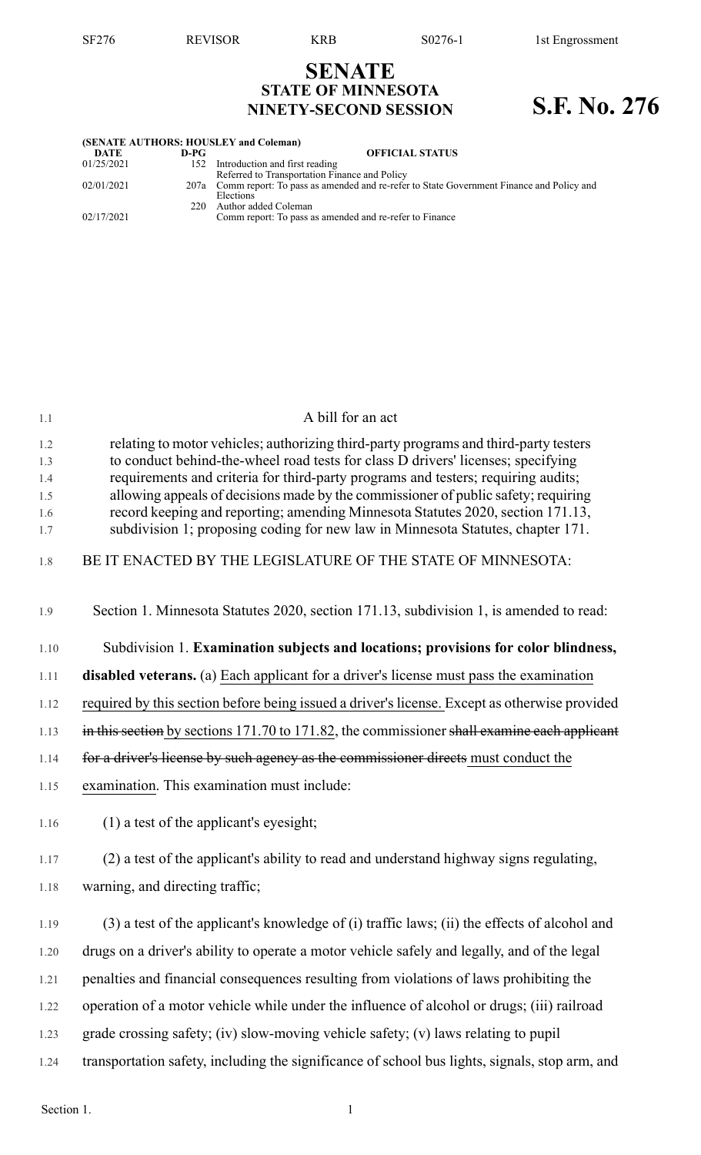## **SENATE STATE OF MINNESOTA NINETY-SECOND SESSION S.F. No. 276**

| (SENATE AUTHORS: HOUSLEY and Coleman) |      |                                                                                              |  |  |  |  |
|---------------------------------------|------|----------------------------------------------------------------------------------------------|--|--|--|--|
| DATE                                  | D-PG | <b>OFFICIAL STATUS</b>                                                                       |  |  |  |  |
| 01/25/2021                            |      | 152 Introduction and first reading                                                           |  |  |  |  |
|                                       |      | Referred to Transportation Finance and Policy                                                |  |  |  |  |
| 02/01/2021                            |      | 207a Comm report: To pass as amended and re-refer to State Government Finance and Policy and |  |  |  |  |
|                                       |      | Elections                                                                                    |  |  |  |  |
|                                       | 220. | Author added Coleman                                                                         |  |  |  |  |
| 02/17/2021                            |      | Comm report: To pass as amended and re-refer to Finance                                      |  |  |  |  |
|                                       |      |                                                                                              |  |  |  |  |

| 1.1               | A bill for an act                                                                                                                                                                                                                                             |
|-------------------|---------------------------------------------------------------------------------------------------------------------------------------------------------------------------------------------------------------------------------------------------------------|
| 1.2<br>1.3<br>1.4 | relating to motor vehicles; authorizing third-party programs and third-party testers<br>to conduct behind-the-wheel road tests for class D drivers' licenses; specifying<br>requirements and criteria for third-party programs and testers; requiring audits; |
| 1.5               | allowing appeals of decisions made by the commissioner of public safety; requiring                                                                                                                                                                            |
| 1.6<br>1.7        | record keeping and reporting; amending Minnesota Statutes 2020, section 171.13,<br>subdivision 1; proposing coding for new law in Minnesota Statutes, chapter 171.                                                                                            |
| 1.8               | BE IT ENACTED BY THE LEGISLATURE OF THE STATE OF MINNESOTA:                                                                                                                                                                                                   |
| 1.9               | Section 1. Minnesota Statutes 2020, section 171.13, subdivision 1, is amended to read:                                                                                                                                                                        |
| 1.10              | Subdivision 1. Examination subjects and locations; provisions for color blindness,                                                                                                                                                                            |
| 1.11              | <b>disabled veterans.</b> (a) Each applicant for a driver's license must pass the examination                                                                                                                                                                 |
| 1.12              | required by this section before being issued a driver's license. Except as otherwise provided                                                                                                                                                                 |
| 1.13              | in this section by sections 171.70 to 171.82, the commissioner shall examine each applicant                                                                                                                                                                   |
| 1.14              | for a driver's license by such agency as the commissioner directs must conduct the                                                                                                                                                                            |
| 1.15              | examination. This examination must include:                                                                                                                                                                                                                   |
| 1.16              | $(1)$ a test of the applicant's eyesight;                                                                                                                                                                                                                     |
| 1.17              | (2) a test of the applicant's ability to read and understand highway signs regulating,                                                                                                                                                                        |
| 1.18              | warning, and directing traffic;                                                                                                                                                                                                                               |
| 1.19              | (3) a test of the applicant's knowledge of (i) traffic laws; (ii) the effects of alcohol and                                                                                                                                                                  |
| 1.20              | drugs on a driver's ability to operate a motor vehicle safely and legally, and of the legal                                                                                                                                                                   |
| 1.21              | penalties and financial consequences resulting from violations of laws prohibiting the                                                                                                                                                                        |
| 1.22              | operation of a motor vehicle while under the influence of alcohol or drugs; (iii) railroad                                                                                                                                                                    |
| 1.23              | grade crossing safety; (iv) slow-moving vehicle safety; (v) laws relating to pupil                                                                                                                                                                            |
| 1.24              | transportation safety, including the significance of school bus lights, signals, stop arm, and                                                                                                                                                                |
|                   |                                                                                                                                                                                                                                                               |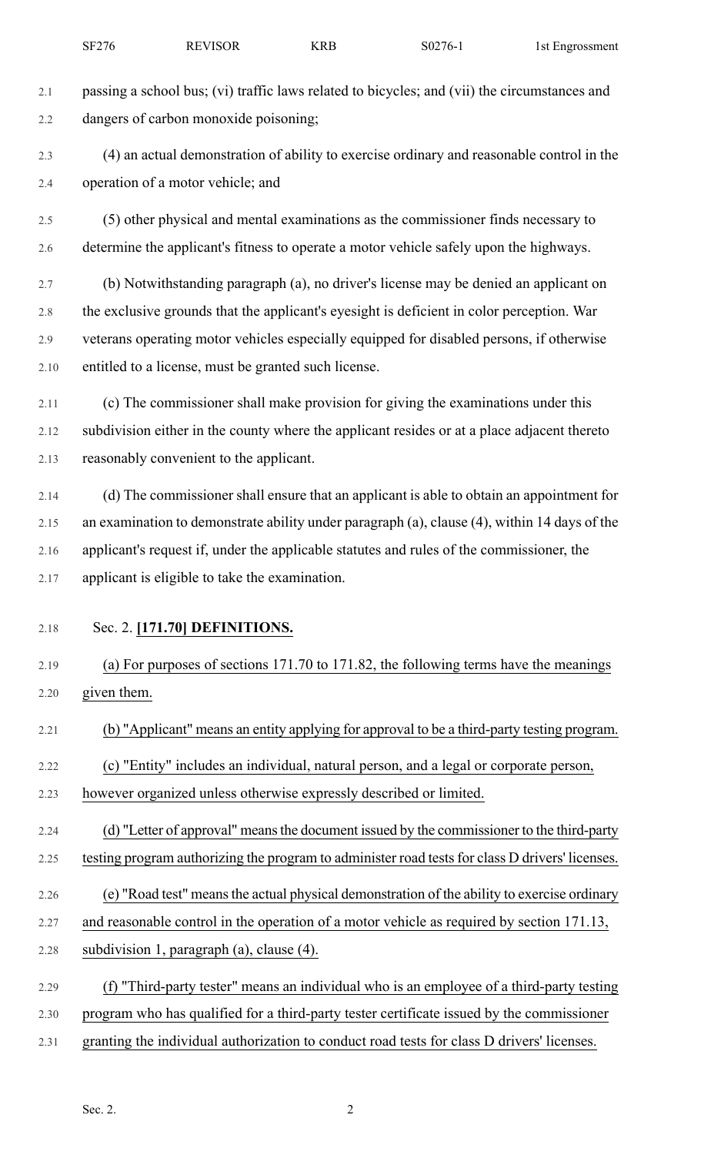- 2.1 passing a school bus; (vi) traffic laws related to bicycles; and (vii) the circumstances and 2.2 dangers of carbon monoxide poisoning; 2.3 (4) an actual demonstration of ability to exercise ordinary and reasonable control in the 2.4 operation of a motor vehicle; and 2.5 (5) other physical and mental examinations as the commissioner finds necessary to 2.6 determine the applicant's fitness to operate a motor vehicle safely upon the highways. 2.7 (b) Notwithstanding paragraph (a), no driver's license may be denied an applicant on 2.8 the exclusive grounds that the applicant's eyesight is deficient in color perception. War 2.9 veterans operating motor vehicles especially equipped for disabled persons, if otherwise 2.10 entitled to a license, must be granted such license. 2.11 (c) The commissioner shall make provision for giving the examinations under this 2.12 subdivision either in the county where the applicant resides or at a place adjacent thereto 2.13 reasonably convenient to the applicant. 2.14 (d) The commissioner shall ensure that an applicant is able to obtain an appointment for 2.15 an examination to demonstrate ability under paragraph (a), clause (4), within 14 days of the 2.16 applicant's request if, under the applicable statutes and rules of the commissioner, the 2.17 applicant is eligible to take the examination. 2.18 Sec. 2. **[171.70] DEFINITIONS.** 2.19 (a) For purposes of sections 171.70 to 171.82, the following terms have the meanings 2.20 given them. 2.21 (b) "Applicant" means an entity applying for approval to be a third-party testing program. 2.22 (c) "Entity" includes an individual, natural person, and a legal or corporate person, 2.23 however organized unless otherwise expressly described or limited. 2.24 (d) "Letter of approval" means the document issued by the commissioner to the third-party 2.25 testing program authorizing the program to administer road tests for class D drivers' licenses. 2.26 (e) "Road test" meansthe actual physical demonstration of the ability to exercise ordinary 2.27 and reasonable control in the operation of a motor vehicle as required by section 171.13, 2.28 subdivision 1, paragraph (a), clause (4). 2.29 (f) "Third-party tester" means an individual who is an employee of a third-party testing 2.30 program who has qualified for a third-party tester certificate issued by the commissioner
- 2.31 granting the individual authorization to conduct road tests for class D drivers' licenses.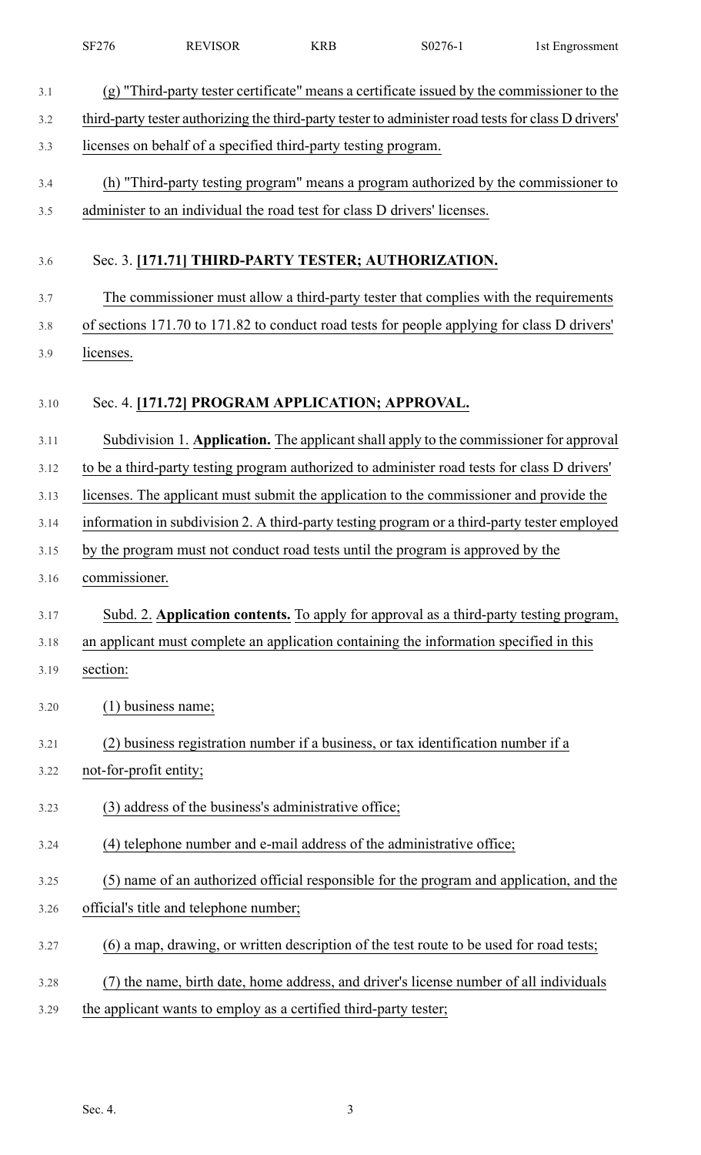|      | <b>SF276</b>           | <b>REVISOR</b>                                                   | <b>KRB</b> | S0276-1                                                                                             | 1st Engrossment |
|------|------------------------|------------------------------------------------------------------|------------|-----------------------------------------------------------------------------------------------------|-----------------|
| 3.1  |                        |                                                                  |            | (g) "Third-party tester certificate" means a certificate issued by the commissioner to the          |                 |
| 3.2  |                        |                                                                  |            | third-party tester authorizing the third-party tester to administer road tests for class D drivers' |                 |
| 3.3  |                        | licenses on behalf of a specified third-party testing program.   |            |                                                                                                     |                 |
| 3.4  |                        |                                                                  |            | (h) "Third-party testing program" means a program authorized by the commissioner to                 |                 |
| 3.5  |                        |                                                                  |            | administer to an individual the road test for class D drivers' licenses.                            |                 |
| 3.6  |                        |                                                                  |            | Sec. 3. [171.71] THIRD-PARTY TESTER; AUTHORIZATION.                                                 |                 |
| 3.7  |                        |                                                                  |            | The commissioner must allow a third-party tester that complies with the requirements                |                 |
| 3.8  |                        |                                                                  |            | of sections 171.70 to 171.82 to conduct road tests for people applying for class D drivers'         |                 |
| 3.9  | licenses.              |                                                                  |            |                                                                                                     |                 |
|      |                        |                                                                  |            |                                                                                                     |                 |
| 3.10 |                        | Sec. 4. [171.72] PROGRAM APPLICATION; APPROVAL.                  |            |                                                                                                     |                 |
| 3.11 |                        |                                                                  |            | Subdivision 1. Application. The applicant shall apply to the commissioner for approval              |                 |
| 3.12 |                        |                                                                  |            | to be a third-party testing program authorized to administer road tests for class D drivers'        |                 |
| 3.13 |                        |                                                                  |            | licenses. The applicant must submit the application to the commissioner and provide the             |                 |
| 3.14 |                        |                                                                  |            | information in subdivision 2. A third-party testing program or a third-party tester employed        |                 |
| 3.15 |                        |                                                                  |            | by the program must not conduct road tests until the program is approved by the                     |                 |
| 3.16 | commissioner.          |                                                                  |            |                                                                                                     |                 |
| 3.17 |                        |                                                                  |            | Subd. 2. Application contents. To apply for approval as a third-party testing program,              |                 |
| 3.18 |                        |                                                                  |            | an applicant must complete an application containing the information specified in this              |                 |
| 3.19 | section:               |                                                                  |            |                                                                                                     |                 |
| 3.20 | $(1)$ business name;   |                                                                  |            |                                                                                                     |                 |
| 3.21 |                        |                                                                  |            | (2) business registration number if a business, or tax identification number if a                   |                 |
| 3.22 | not-for-profit entity; |                                                                  |            |                                                                                                     |                 |
| 3.23 |                        | (3) address of the business's administrative office;             |            |                                                                                                     |                 |
| 3.24 |                        |                                                                  |            | (4) telephone number and e-mail address of the administrative office;                               |                 |
| 3.25 |                        |                                                                  |            | (5) name of an authorized official responsible for the program and application, and the             |                 |
| 3.26 |                        | official's title and telephone number;                           |            |                                                                                                     |                 |
| 3.27 |                        |                                                                  |            | (6) a map, drawing, or written description of the test route to be used for road tests;             |                 |
| 3.28 |                        |                                                                  |            | ) the name, birth date, home address, and driver's license number of all individuals                |                 |
| 3.29 |                        | the applicant wants to employ as a certified third-party tester; |            |                                                                                                     |                 |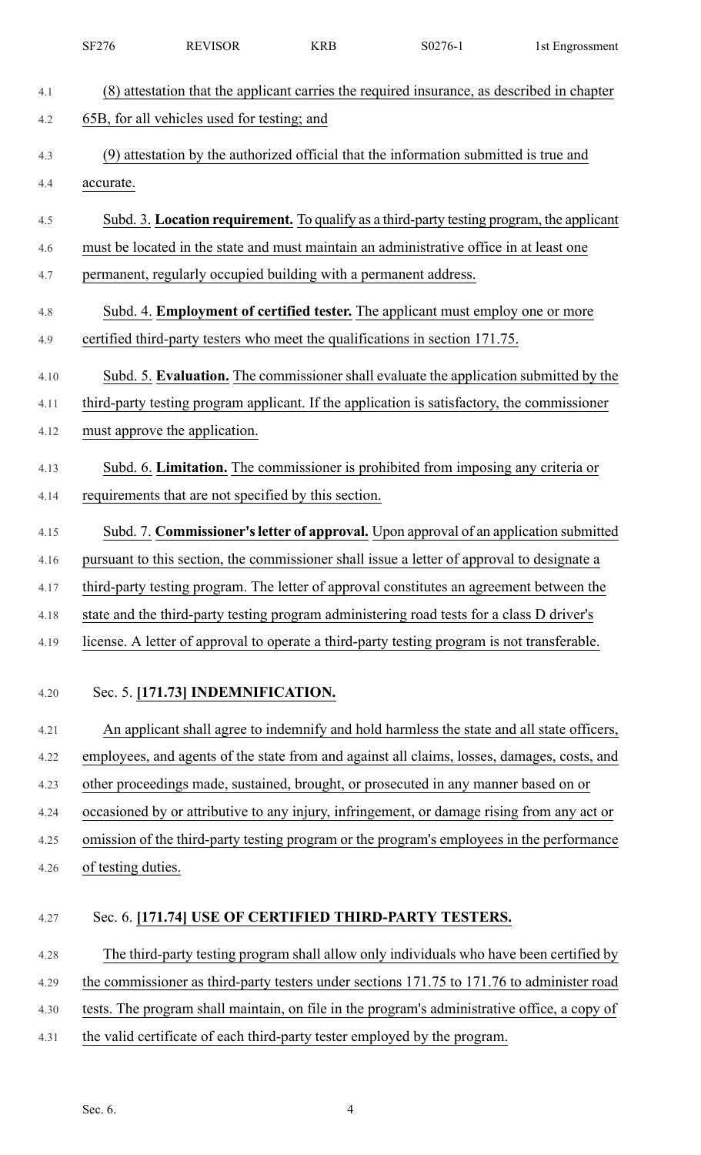|            | SF276              | <b>REVISOR</b>                                                   | <b>KRB</b> | S0276-1                                                                                                                                                                              | 1st Engrossment |
|------------|--------------------|------------------------------------------------------------------|------------|--------------------------------------------------------------------------------------------------------------------------------------------------------------------------------------|-----------------|
| 4.1        |                    |                                                                  |            | (8) attestation that the applicant carries the required insurance, as described in chapter                                                                                           |                 |
| 4.2        |                    | 65B, for all vehicles used for testing; and                      |            |                                                                                                                                                                                      |                 |
| 4.3        |                    |                                                                  |            | (9) attestation by the authorized official that the information submitted is true and                                                                                                |                 |
| 4.4        | accurate.          |                                                                  |            |                                                                                                                                                                                      |                 |
|            |                    |                                                                  |            |                                                                                                                                                                                      |                 |
| 4.5        |                    |                                                                  |            | Subd. 3. Location requirement. To qualify as a third-party testing program, the applicant<br>must be located in the state and must maintain an administrative office in at least one |                 |
| 4.6<br>4.7 |                    | permanent, regularly occupied building with a permanent address. |            |                                                                                                                                                                                      |                 |
|            |                    |                                                                  |            |                                                                                                                                                                                      |                 |
| 4.8        |                    |                                                                  |            | Subd. 4. <b>Employment of certified tester.</b> The applicant must employ one or more                                                                                                |                 |
| 4.9        |                    |                                                                  |            | certified third-party testers who meet the qualifications in section 171.75.                                                                                                         |                 |
| 4.10       |                    |                                                                  |            | Subd. 5. Evaluation. The commissioner shall evaluate the application submitted by the                                                                                                |                 |
| 4.11       |                    |                                                                  |            | third-party testing program applicant. If the application is satisfactory, the commissioner                                                                                          |                 |
| 4.12       |                    | must approve the application.                                    |            |                                                                                                                                                                                      |                 |
| 4.13       |                    |                                                                  |            | Subd. 6. Limitation. The commissioner is prohibited from imposing any criteria or                                                                                                    |                 |
| 4.14       |                    | requirements that are not specified by this section.             |            |                                                                                                                                                                                      |                 |
| 4.15       |                    |                                                                  |            | Subd. 7. Commissioner's letter of approval. Upon approval of an application submitted                                                                                                |                 |
| 4.16       |                    |                                                                  |            | pursuant to this section, the commissioner shall issue a letter of approval to designate a                                                                                           |                 |
| 4.17       |                    |                                                                  |            | third-party testing program. The letter of approval constitutes an agreement between the                                                                                             |                 |
| 4.18       |                    |                                                                  |            | state and the third-party testing program administering road tests for a class D driver's                                                                                            |                 |
| 4.19       |                    |                                                                  |            | license. A letter of approval to operate a third-party testing program is not transferable.                                                                                          |                 |
|            |                    |                                                                  |            |                                                                                                                                                                                      |                 |
| 4.20       |                    | Sec. 5. [171.73] INDEMNIFICATION.                                |            |                                                                                                                                                                                      |                 |
| 4.21       |                    |                                                                  |            | An applicant shall agree to indemnify and hold harmless the state and all state officers,                                                                                            |                 |
| 4.22       |                    |                                                                  |            | employees, and agents of the state from and against all claims, losses, damages, costs, and                                                                                          |                 |
| 4.23       |                    |                                                                  |            | other proceedings made, sustained, brought, or prosecuted in any manner based on or                                                                                                  |                 |
| 4.24       |                    |                                                                  |            | occasioned by or attributive to any injury, infringement, or damage rising from any act or                                                                                           |                 |
| 4.25       |                    |                                                                  |            | omission of the third-party testing program or the program's employees in the performance                                                                                            |                 |
| 4.26       | of testing duties. |                                                                  |            |                                                                                                                                                                                      |                 |
| 4.27       |                    |                                                                  |            | Sec. 6. [171.74] USE OF CERTIFIED THIRD-PARTY TESTERS.                                                                                                                               |                 |
|            |                    |                                                                  |            |                                                                                                                                                                                      |                 |
| 4.28       |                    |                                                                  |            | The third-party testing program shall allow only individuals who have been certified by                                                                                              |                 |
| 4.29       |                    |                                                                  |            | the commissioner as third-party testers under sections 171.75 to 171.76 to administer road                                                                                           |                 |
| 4.30       |                    |                                                                  |            | tests. The program shall maintain, on file in the program's administrative office, a copy of                                                                                         |                 |
| 4.31       |                    |                                                                  |            | the valid certificate of each third-party tester employed by the program.                                                                                                            |                 |
|            |                    |                                                                  |            |                                                                                                                                                                                      |                 |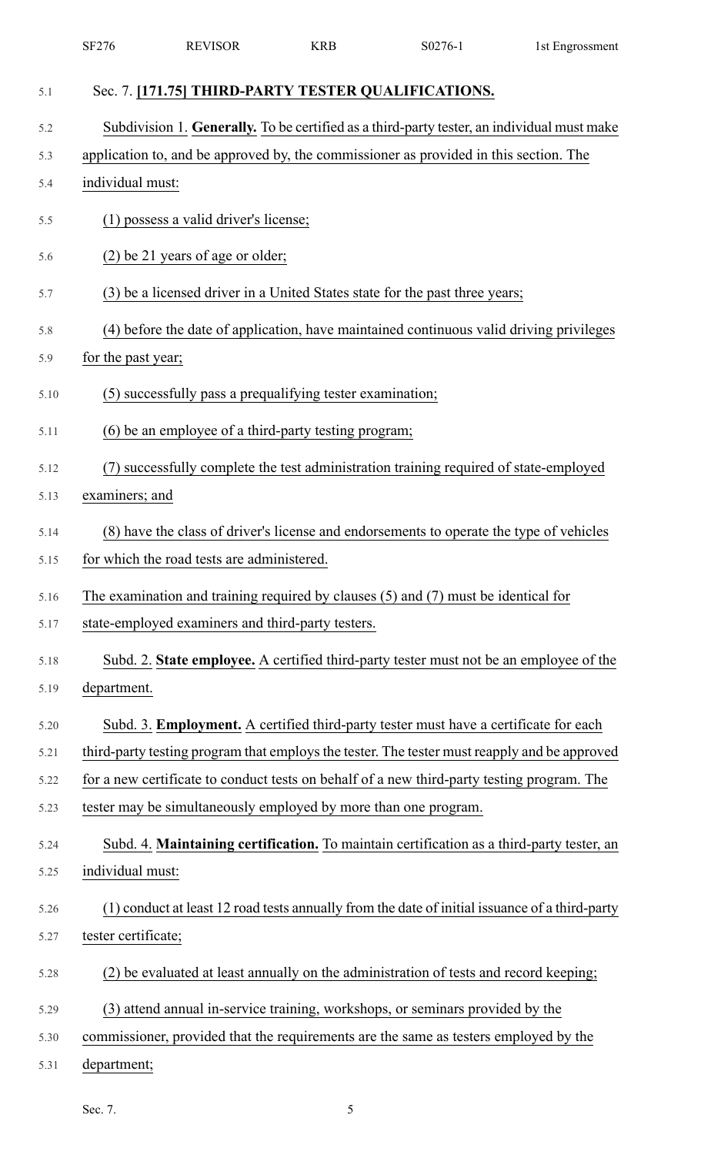|      | SF276               | <b>REVISOR</b>                                                  | <b>KRB</b> | S0276-1                                                                                        | 1st Engrossment |
|------|---------------------|-----------------------------------------------------------------|------------|------------------------------------------------------------------------------------------------|-----------------|
| 5.1  |                     |                                                                 |            | Sec. 7. [171.75] THIRD-PARTY TESTER QUALIFICATIONS.                                            |                 |
| 5.2  |                     |                                                                 |            | Subdivision 1. Generally. To be certified as a third-party tester, an individual must make     |                 |
| 5.3  |                     |                                                                 |            | application to, and be approved by, the commissioner as provided in this section. The          |                 |
| 5.4  | individual must:    |                                                                 |            |                                                                                                |                 |
| 5.5  |                     | (1) possess a valid driver's license;                           |            |                                                                                                |                 |
| 5.6  |                     | (2) be 21 years of age or older;                                |            |                                                                                                |                 |
| 5.7  |                     |                                                                 |            | (3) be a licensed driver in a United States state for the past three years;                    |                 |
| 5.8  |                     |                                                                 |            | (4) before the date of application, have maintained continuous valid driving privileges        |                 |
| 5.9  | for the past year;  |                                                                 |            |                                                                                                |                 |
| 5.10 |                     | (5) successfully pass a prequalifying tester examination;       |            |                                                                                                |                 |
| 5.11 |                     | (6) be an employee of a third-party testing program;            |            |                                                                                                |                 |
| 5.12 | (7)                 |                                                                 |            | successfully complete the test administration training required of state-employed              |                 |
| 5.13 | examiners; and      |                                                                 |            |                                                                                                |                 |
| 5.14 |                     |                                                                 |            | (8) have the class of driver's license and endorsements to operate the type of vehicles        |                 |
| 5.15 |                     | for which the road tests are administered.                      |            |                                                                                                |                 |
| 5.16 |                     |                                                                 |            | The examination and training required by clauses $(5)$ and $(7)$ must be identical for         |                 |
| 5.17 |                     | state-employed examiners and third-party testers.               |            |                                                                                                |                 |
| 5.18 |                     |                                                                 |            | Subd. 2. State employee. A certified third-party tester must not be an employee of the         |                 |
| 5.19 | department.         |                                                                 |            |                                                                                                |                 |
| 5.20 |                     |                                                                 |            | Subd. 3. <b>Employment.</b> A certified third-party tester must have a certificate for each    |                 |
| 5.21 |                     |                                                                 |            | third-party testing program that employs the tester. The tester must reapply and be approved   |                 |
| 5.22 |                     |                                                                 |            | for a new certificate to conduct tests on behalf of a new third-party testing program. The     |                 |
| 5.23 |                     | tester may be simultaneously employed by more than one program. |            |                                                                                                |                 |
| 5.24 |                     |                                                                 |            | Subd. 4. Maintaining certification. To maintain certification as a third-party tester, an      |                 |
| 5.25 | individual must:    |                                                                 |            |                                                                                                |                 |
| 5.26 |                     |                                                                 |            | (1) conduct at least 12 road tests annually from the date of initial issuance of a third-party |                 |
| 5.27 | tester certificate; |                                                                 |            |                                                                                                |                 |
| 5.28 |                     |                                                                 |            | (2) be evaluated at least annually on the administration of tests and record keeping;          |                 |
| 5.29 |                     |                                                                 |            | (3) attend annual in-service training, workshops, or seminars provided by the                  |                 |
| 5.30 |                     |                                                                 |            | commissioner, provided that the requirements are the same as testers employed by the           |                 |
| 5.31 | department;         |                                                                 |            |                                                                                                |                 |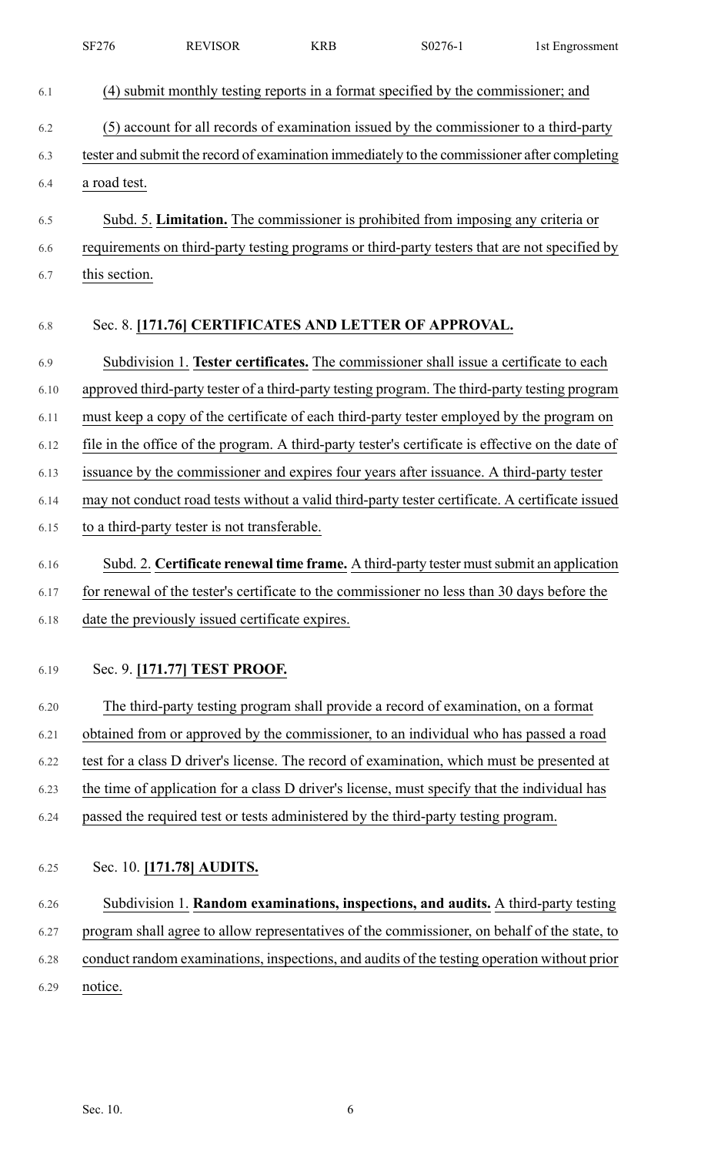|      | SF276         | <b>REVISOR</b>                                  | <b>KRB</b> | S0276-1                                                                                           | 1st Engrossment |
|------|---------------|-------------------------------------------------|------------|---------------------------------------------------------------------------------------------------|-----------------|
| 6.1  |               |                                                 |            | (4) submit monthly testing reports in a format specified by the commissioner; and                 |                 |
| 6.2  |               |                                                 |            | (5) account for all records of examination issued by the commissioner to a third-party            |                 |
| 6.3  |               |                                                 |            | tester and submit the record of examination immediately to the commissioner after completing      |                 |
| 6.4  | a road test.  |                                                 |            |                                                                                                   |                 |
| 6.5  |               |                                                 |            | Subd. 5. Limitation. The commissioner is prohibited from imposing any criteria or                 |                 |
| 6.6  |               |                                                 |            | requirements on third-party testing programs or third-party testers that are not specified by     |                 |
| 6.7  | this section. |                                                 |            |                                                                                                   |                 |
| 6.8  |               |                                                 |            | Sec. 8. [171.76] CERTIFICATES AND LETTER OF APPROVAL.                                             |                 |
| 6.9  |               |                                                 |            | Subdivision 1. Tester certificates. The commissioner shall issue a certificate to each            |                 |
| 6.10 |               |                                                 |            | approved third-party tester of a third-party testing program. The third-party testing program     |                 |
| 6.11 |               |                                                 |            | must keep a copy of the certificate of each third-party tester employed by the program on         |                 |
| 6.12 |               |                                                 |            | file in the office of the program. A third-party tester's certificate is effective on the date of |                 |
| 6.13 |               |                                                 |            | issuance by the commissioner and expires four years after issuance. A third-party tester          |                 |
| 6.14 |               |                                                 |            | may not conduct road tests without a valid third-party tester certificate. A certificate issued   |                 |
| 6.15 |               | to a third-party tester is not transferable.    |            |                                                                                                   |                 |
| 6.16 |               |                                                 |            | Subd. 2. Certificate renewal time frame. A third-party tester must submit an application          |                 |
| 6.17 |               |                                                 |            | for renewal of the tester's certificate to the commissioner no less than 30 days before the       |                 |
| 6.18 |               | date the previously issued certificate expires. |            |                                                                                                   |                 |
| 6.19 |               | Sec. 9. [171.77] TEST PROOF.                    |            |                                                                                                   |                 |
| 6.20 |               |                                                 |            | The third-party testing program shall provide a record of examination, on a format                |                 |
| 6.21 |               |                                                 |            | obtained from or approved by the commissioner, to an individual who has passed a road             |                 |
| 6.22 |               |                                                 |            | test for a class D driver's license. The record of examination, which must be presented at        |                 |
| 6.23 |               |                                                 |            | the time of application for a class D driver's license, must specify that the individual has      |                 |
| 6.24 |               |                                                 |            | passed the required test or tests administered by the third-party testing program.                |                 |
| 6.25 |               | Sec. 10. [171.78] AUDITS.                       |            |                                                                                                   |                 |
| 6.26 |               |                                                 |            | Subdivision 1. Random examinations, inspections, and audits. A third-party testing                |                 |
| 6.27 |               |                                                 |            | program shall agree to allow representatives of the commissioner, on behalf of the state, to      |                 |
| 6.28 |               |                                                 |            | conduct random examinations, inspections, and audits of the testing operation without prior       |                 |
| 6.29 | notice.       |                                                 |            |                                                                                                   |                 |
|      |               |                                                 |            |                                                                                                   |                 |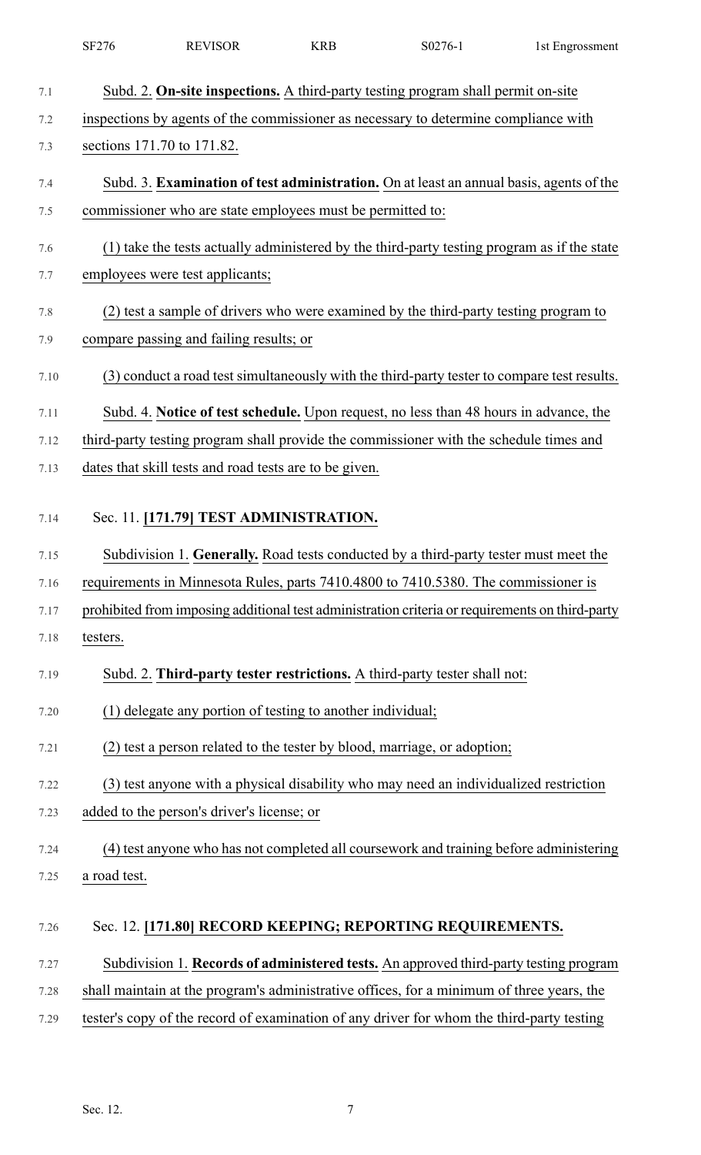|      | SF276        | <b>REVISOR</b>                                             | <b>KRB</b> | S0276-1                                                                                         | 1st Engrossment |
|------|--------------|------------------------------------------------------------|------------|-------------------------------------------------------------------------------------------------|-----------------|
| 7.1  |              |                                                            |            | Subd. 2. On-site inspections. A third-party testing program shall permit on-site                |                 |
| 7.2  |              |                                                            |            | inspections by agents of the commissioner as necessary to determine compliance with             |                 |
| 7.3  |              | sections 171.70 to 171.82.                                 |            |                                                                                                 |                 |
| 7.4  |              |                                                            |            | Subd. 3. Examination of test administration. On at least an annual basis, agents of the         |                 |
| 7.5  |              | commissioner who are state employees must be permitted to: |            |                                                                                                 |                 |
| 7.6  |              |                                                            |            | (1) take the tests actually administered by the third-party testing program as if the state     |                 |
| 7.7  |              | employees were test applicants;                            |            |                                                                                                 |                 |
| 7.8  |              |                                                            |            | (2) test a sample of drivers who were examined by the third-party testing program to            |                 |
| 7.9  |              | compare passing and failing results; or                    |            |                                                                                                 |                 |
| 7.10 |              |                                                            |            | (3) conduct a road test simultaneously with the third-party tester to compare test results.     |                 |
| 7.11 |              |                                                            |            | Subd. 4. Notice of test schedule. Upon request, no less than 48 hours in advance, the           |                 |
| 7.12 |              |                                                            |            | third-party testing program shall provide the commissioner with the schedule times and          |                 |
| 7.13 |              | dates that skill tests and road tests are to be given.     |            |                                                                                                 |                 |
| 7.14 |              | Sec. 11. [171.79] TEST ADMINISTRATION.                     |            |                                                                                                 |                 |
| 7.15 |              |                                                            |            | Subdivision 1. Generally. Road tests conducted by a third-party tester must meet the            |                 |
| 7.16 |              |                                                            |            | requirements in Minnesota Rules, parts 7410.4800 to 7410.5380. The commissioner is              |                 |
| 7.17 |              |                                                            |            | prohibited from imposing additional test administration criteria or requirements on third-party |                 |
| 7.18 | testers.     |                                                            |            |                                                                                                 |                 |
| 7.19 |              |                                                            |            | Subd. 2. Third-party tester restrictions. A third-party tester shall not:                       |                 |
| 7.20 |              | (1) delegate any portion of testing to another individual; |            |                                                                                                 |                 |
| 7.21 |              |                                                            |            | (2) test a person related to the tester by blood, marriage, or adoption;                        |                 |
| 7.22 |              |                                                            |            | (3) test anyone with a physical disability who may need an individualized restriction           |                 |
| 7.23 |              | added to the person's driver's license; or                 |            |                                                                                                 |                 |
| 7.24 |              |                                                            |            | (4) test anyone who has not completed all coursework and training before administering          |                 |
| 7.25 | a road test. |                                                            |            |                                                                                                 |                 |
| 7.26 |              |                                                            |            | Sec. 12. [171.80] RECORD KEEPING; REPORTING REQUIREMENTS.                                       |                 |
| 7.27 |              |                                                            |            | Subdivision 1. Records of administered tests. An approved third-party testing program           |                 |
| 7.28 |              |                                                            |            | shall maintain at the program's administrative offices, for a minimum of three years, the       |                 |
| 7.29 |              |                                                            |            | tester's copy of the record of examination of any driver for whom the third-party testing       |                 |
|      |              |                                                            |            |                                                                                                 |                 |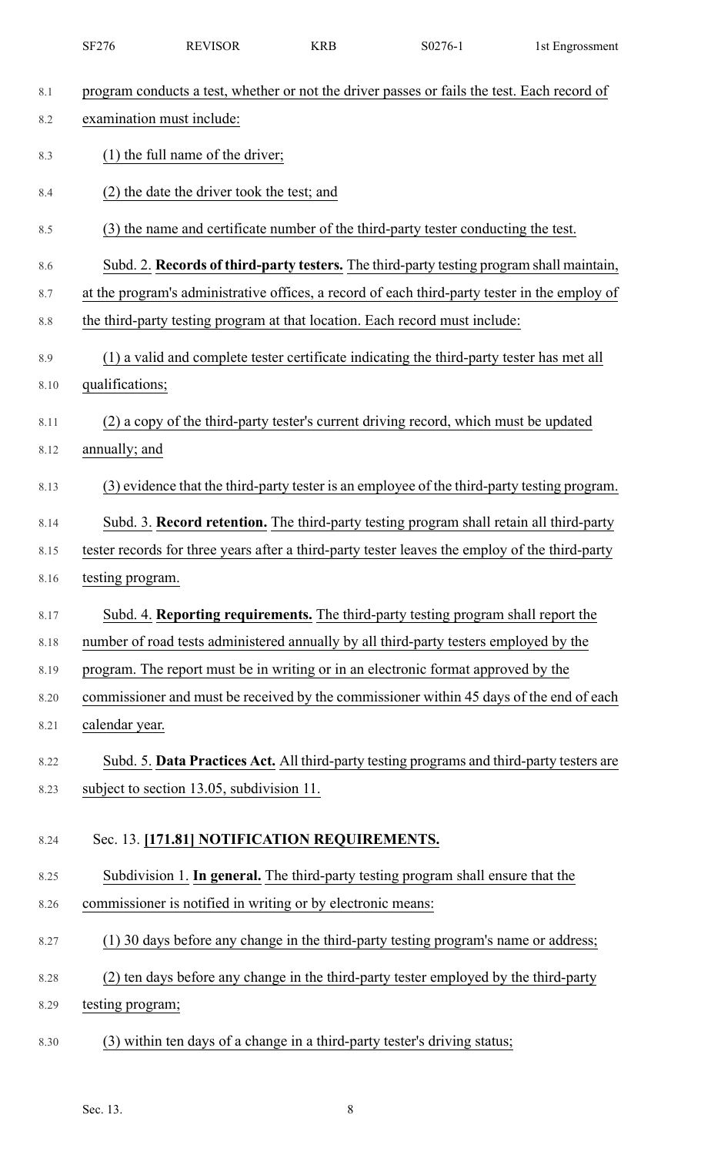|      | SF276                     | <b>REVISOR</b>                                              | <b>KRB</b> | S0276-1                                                                                        | 1st Engrossment |
|------|---------------------------|-------------------------------------------------------------|------------|------------------------------------------------------------------------------------------------|-----------------|
| 8.1  |                           |                                                             |            | program conducts a test, whether or not the driver passes or fails the test. Each record of    |                 |
| 8.2  | examination must include: |                                                             |            |                                                                                                |                 |
| 8.3  |                           | $(1)$ the full name of the driver;                          |            |                                                                                                |                 |
| 8.4  |                           | (2) the date the driver took the test; and                  |            |                                                                                                |                 |
| 8.5  |                           |                                                             |            | (3) the name and certificate number of the third-party tester conducting the test.             |                 |
| 8.6  |                           |                                                             |            | Subd. 2. Records of third-party testers. The third-party testing program shall maintain,       |                 |
| 8.7  |                           |                                                             |            | at the program's administrative offices, a record of each third-party tester in the employ of  |                 |
| 8.8  |                           |                                                             |            | the third-party testing program at that location. Each record must include:                    |                 |
| 8.9  |                           |                                                             |            | (1) a valid and complete tester certificate indicating the third-party tester has met all      |                 |
| 8.10 | qualifications;           |                                                             |            |                                                                                                |                 |
| 8.11 |                           |                                                             |            | (2) a copy of the third-party tester's current driving record, which must be updated           |                 |
| 8.12 | annually; and             |                                                             |            |                                                                                                |                 |
| 8.13 |                           |                                                             |            | (3) evidence that the third-party tester is an employee of the third-party testing program.    |                 |
| 8.14 |                           |                                                             |            | Subd. 3. Record retention. The third-party testing program shall retain all third-party        |                 |
| 8.15 |                           |                                                             |            | tester records for three years after a third-party tester leaves the employ of the third-party |                 |
| 8.16 | testing program.          |                                                             |            |                                                                                                |                 |
| 8.17 |                           |                                                             |            | Subd. 4. Reporting requirements. The third-party testing program shall report the              |                 |
| 8.18 |                           |                                                             |            | number of road tests administered annually by all third-party testers employed by the          |                 |
| 8.19 |                           |                                                             |            | program. The report must be in writing or in an electronic format approved by the              |                 |
| 8.20 |                           |                                                             |            | commissioner and must be received by the commissioner within 45 days of the end of each        |                 |
| 8.21 | calendar year.            |                                                             |            |                                                                                                |                 |
| 8.22 |                           |                                                             |            | Subd. 5. Data Practices Act. All third-party testing programs and third-party testers are      |                 |
| 8.23 |                           | subject to section 13.05, subdivision 11.                   |            |                                                                                                |                 |
| 8.24 |                           | Sec. 13. [171.81] NOTIFICATION REQUIREMENTS.                |            |                                                                                                |                 |
| 8.25 |                           |                                                             |            | Subdivision 1. In general. The third-party testing program shall ensure that the               |                 |
| 8.26 |                           | commissioner is notified in writing or by electronic means: |            |                                                                                                |                 |
| 8.27 |                           |                                                             |            | (1) 30 days before any change in the third-party testing program's name or address;            |                 |
| 8.28 |                           |                                                             |            | (2) ten days before any change in the third-party tester employed by the third-party           |                 |
| 8.29 | testing program;          |                                                             |            |                                                                                                |                 |
| 8.30 |                           |                                                             |            | (3) within ten days of a change in a third-party tester's driving status;                      |                 |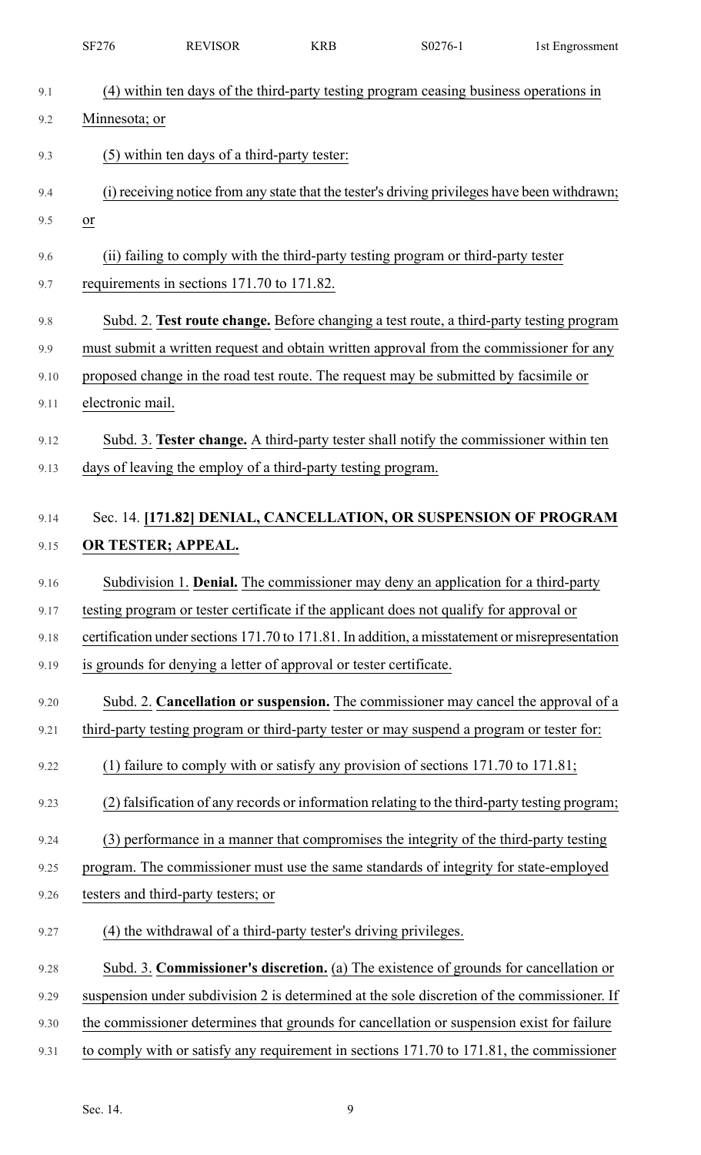|      | <b>SF276</b>            | <b>REVISOR</b>                                                     | <b>KRB</b> | S0276-1                                                                                         | 1st Engrossment |
|------|-------------------------|--------------------------------------------------------------------|------------|-------------------------------------------------------------------------------------------------|-----------------|
| 9.1  |                         |                                                                    |            | (4) within ten days of the third-party testing program ceasing business operations in           |                 |
| 9.2  | Minnesota; or           |                                                                    |            |                                                                                                 |                 |
| 9.3  |                         | (5) within ten days of a third-party tester:                       |            |                                                                                                 |                 |
|      |                         |                                                                    |            |                                                                                                 |                 |
| 9.4  |                         |                                                                    |            | (i) receiving notice from any state that the tester's driving privileges have been withdrawn;   |                 |
| 9.5  | $\underline{\text{or}}$ |                                                                    |            |                                                                                                 |                 |
| 9.6  |                         |                                                                    |            | (ii) failing to comply with the third-party testing program or third-party tester               |                 |
| 9.7  |                         | requirements in sections 171.70 to 171.82.                         |            |                                                                                                 |                 |
| 9.8  |                         |                                                                    |            | Subd. 2. Test route change. Before changing a test route, a third-party testing program         |                 |
| 9.9  |                         |                                                                    |            | must submit a written request and obtain written approval from the commissioner for any         |                 |
| 9.10 |                         |                                                                    |            | proposed change in the road test route. The request may be submitted by facsimile or            |                 |
| 9.11 | electronic mail.        |                                                                    |            |                                                                                                 |                 |
| 9.12 |                         |                                                                    |            | Subd. 3. Tester change. A third-party tester shall notify the commissioner within ten           |                 |
| 9.13 |                         | days of leaving the employ of a third-party testing program.       |            |                                                                                                 |                 |
|      |                         |                                                                    |            |                                                                                                 |                 |
| 9.14 |                         |                                                                    |            | Sec. 14. [171.82] DENIAL, CANCELLATION, OR SUSPENSION OF PROGRAM                                |                 |
| 9.15 |                         | OR TESTER; APPEAL.                                                 |            |                                                                                                 |                 |
| 9.16 |                         |                                                                    |            | Subdivision 1. Denial. The commissioner may deny an application for a third-party               |                 |
| 9.17 |                         |                                                                    |            | testing program or tester certificate if the applicant does not qualify for approval or         |                 |
| 9.18 |                         |                                                                    |            | certification under sections 171.70 to 171.81. In addition, a misstatement or misrepresentation |                 |
| 9.19 |                         | is grounds for denying a letter of approval or tester certificate. |            |                                                                                                 |                 |
| 9.20 |                         |                                                                    |            | Subd. 2. Cancellation or suspension. The commissioner may cancel the approval of a              |                 |
| 9.21 |                         |                                                                    |            | third-party testing program or third-party tester or may suspend a program or tester for:       |                 |
| 9.22 |                         |                                                                    |            | (1) failure to comply with or satisfy any provision of sections $171.70$ to $171.81$ ;          |                 |
| 9.23 |                         |                                                                    |            | (2) falsification of any records or information relating to the third-party testing program;    |                 |
| 9.24 |                         |                                                                    |            | (3) performance in a manner that compromises the integrity of the third-party testing           |                 |
| 9.25 |                         |                                                                    |            | program. The commissioner must use the same standards of integrity for state-employed           |                 |
| 9.26 |                         | testers and third-party testers; or                                |            |                                                                                                 |                 |
| 9.27 |                         | (4) the withdrawal of a third-party tester's driving privileges.   |            |                                                                                                 |                 |
| 9.28 |                         |                                                                    |            | Subd. 3. Commissioner's discretion. (a) The existence of grounds for cancellation or            |                 |
| 9.29 |                         |                                                                    |            | suspension under subdivision 2 is determined at the sole discretion of the commissioner. If     |                 |
| 9.30 |                         |                                                                    |            | the commissioner determines that grounds for cancellation or suspension exist for failure       |                 |
| 9.31 |                         |                                                                    |            | to comply with or satisfy any requirement in sections 171.70 to 171.81, the commissioner        |                 |